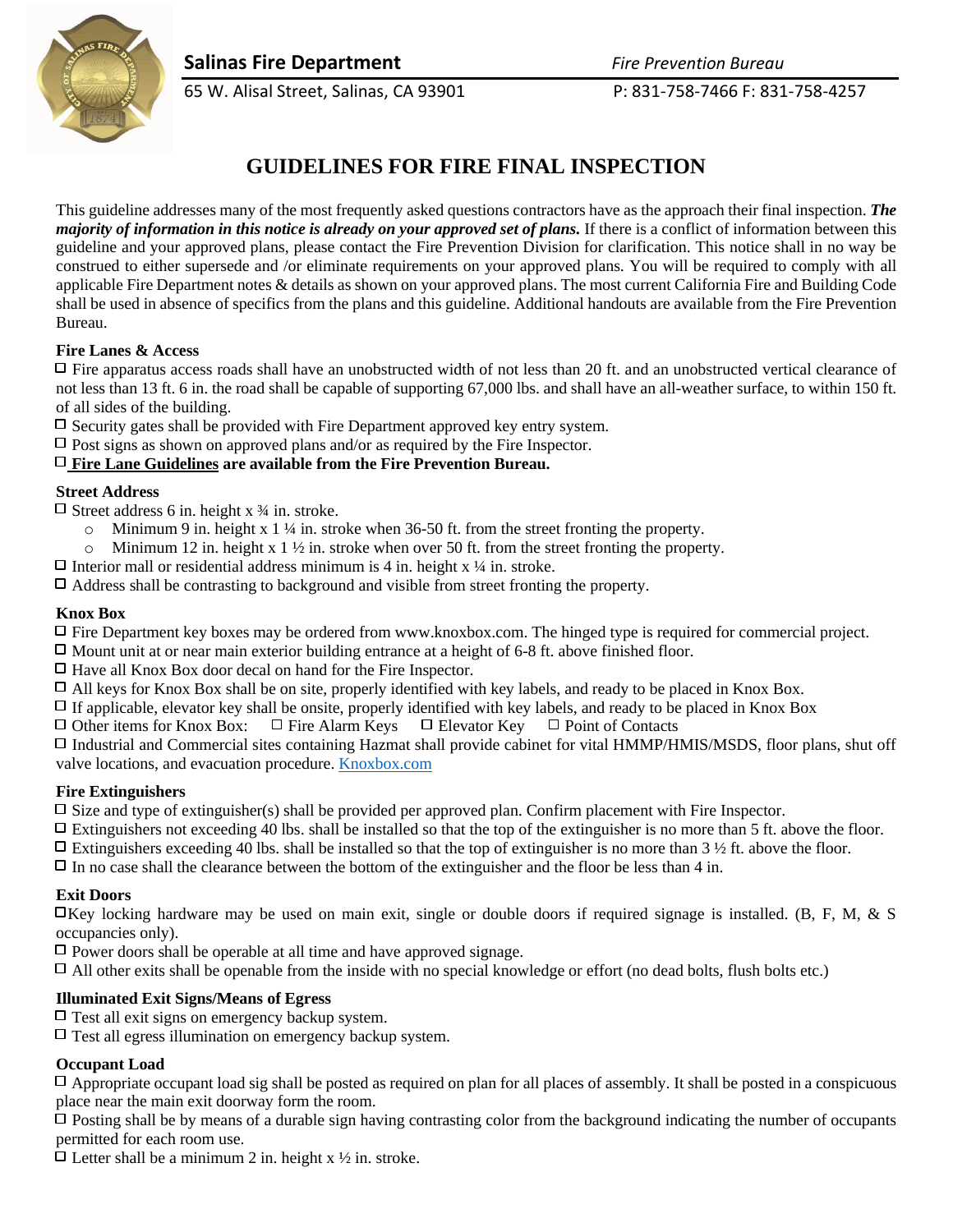**Salinas Fire Department** *Fire Prevention Bureau*





65 W. Alisal Street, Salinas, CA 93901 P: 831-758-7466 F: 831-758-4257

# **GUIDELINES FOR FIRE FINAL INSPECTION**

This guideline addresses many of the most frequently asked questions contractors have as the approach their final inspection. *The majority of information in this notice is already on your approved set of plans.* If there is a conflict of information between this guideline and your approved plans, please contact the Fire Prevention Division for clarification. This notice shall in no way be construed to either supersede and /or eliminate requirements on your approved plans. You will be required to comply with all applicable Fire Department notes & details as shown on your approved plans. The most current California Fire and Building Code shall be used in absence of specifics from the plans and this guideline. Additional handouts are available from the Fire Prevention Bureau.

# **Fire Lanes & Access**

 $\Box$  Fire apparatus access roads shall have an unobstructed width of not less than 20 ft. and an unobstructed vertical clearance of not less than 13 ft. 6 in. the road shall be capable of supporting 67,000 lbs. and shall have an all-weather surface, to within 150 ft. of all sides of the building.

 $\Box$  Security gates shall be provided with Fire Department approved key entry system.

 $\Box$  Post signs as shown on approved plans and/or as required by the Fire Inspector.

#### **Fire Lane Guidelines are available from the Fire Prevention Bureau.**

#### **Street Address**

 $\Box$  Street address 6 in. height x  $\frac{3}{4}$  in. stroke.

- $\circ$  Minimum 9 in. height x 1 ¼ in. stroke when 36-50 ft. from the street fronting the property.
- $\circ$  Minimum 12 in. height x 1  $\frac{1}{2}$  in. stroke when over 50 ft. from the street fronting the property.
- $\Box$  Interior mall or residential address minimum is 4 in. height x  $\frac{1}{4}$  in. stroke.

 $\Box$  Address shall be contrasting to background and visible from street fronting the property.

#### **Knox Box**

Fire Department key boxes may be ordered from www.knoxbox.com. The hinged type is required for commercial project.

 $\Box$  Mount unit at or near main exterior building entrance at a height of 6-8 ft. above finished floor.

 $\Box$  Have all Knox Box door decal on hand for the Fire Inspector.

 $\Box$  All keys for Knox Box shall be on site, properly identified with key labels, and ready to be placed in Knox Box.

 $\Box$  If applicable, elevator key shall be onsite, properly identified with key labels, and ready to be placed in Knox Box  $\Box$  Other items for Knox Box:  $\Box$  Fire Alarm Keys  $\Box$  Elevator Key  $\Box$  Point of Contacts

 $\Box$  Other items for Knox Box:  $\Box$  Fire Alarm Keys  $\Box$  Elevator Key

Industrial and Commercial sites containing Hazmat shall provide cabinet for vital HMMP/HMIS/MSDS, floor plans, shut off valve locations, and evacuation procedure[. Knoxbox.com](http://www.knoxbox.com/)

# **Fire Extinguishers**

 $\square$  Size and type of extinguisher(s) shall be provided per approved plan. Confirm placement with Fire Inspector.

 $\Box$  Extinguishers not exceeding 40 lbs. shall be installed so that the top of the extinguisher is no more than 5 ft. above the floor.

- $\Box$  Extinguishers exceeding 40 lbs. shall be installed so that the top of extinguisher is no more than 3 ½ ft. above the floor.
- $\Box$  In no case shall the clearance between the bottom of the extinguisher and the floor be less than 4 in.

# **Exit Doors**

 $\Box$ Key locking hardware may be used on main exit, single or double doors if required signage is installed. (B, F, M, & S occupancies only).

 $\Box$  Power doors shall be operable at all time and have approved signage.

 $\Box$  All other exits shall be openable from the inside with no special knowledge or effort (no dead bolts, flush bolts etc.)

# **Illuminated Exit Signs/Means of Egress**

 $\Box$  Test all exit signs on emergency backup system.

 $\Box$  Test all egress illumination on emergency backup system.

# **Occupant Load**

 $\Box$  Appropriate occupant load sig shall be posted as required on plan for all places of assembly. It shall be posted in a conspicuous place near the main exit doorway form the room.

 $\Box$  Posting shall be by means of a durable sign having contrasting color from the background indicating the number of occupants permitted for each room use.

 $\Box$  Letter shall be a minimum 2 in. height x ½ in. stroke.